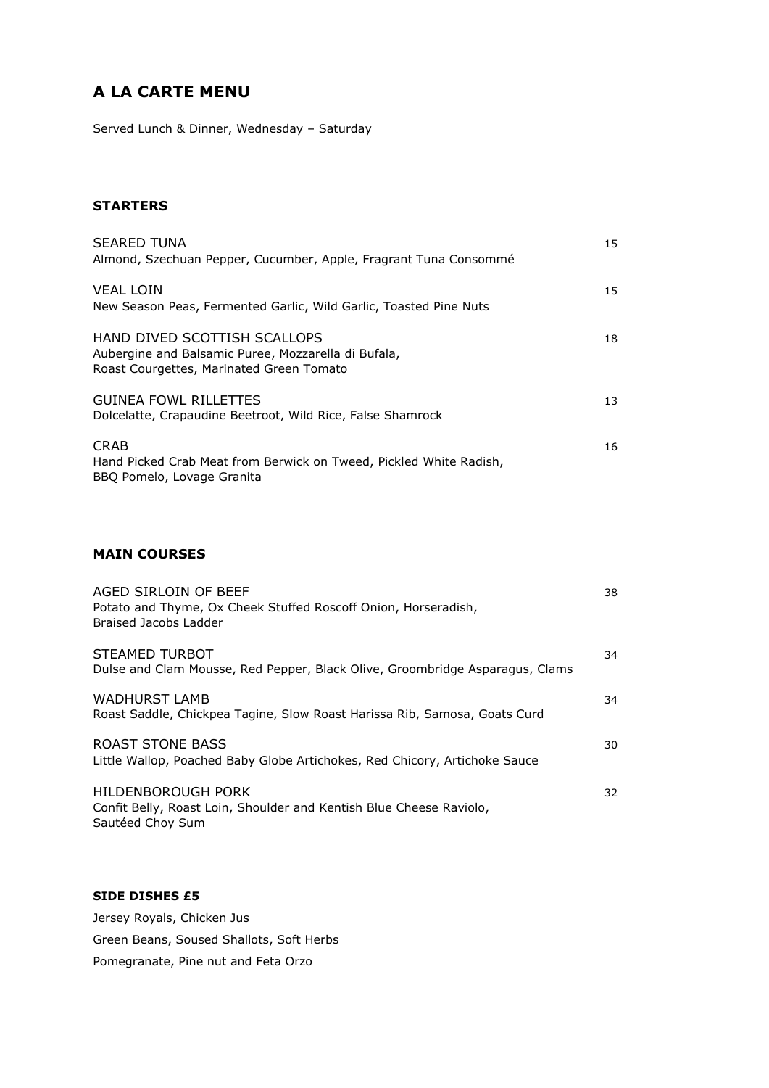# **A LA CARTE MENU**

Served Lunch & Dinner, Wednesday – Saturday

### **STARTERS**

| <b>SEARED TUNA</b><br>Almond, Szechuan Pepper, Cucumber, Apple, Fragrant Tuna Consommé                                          | 15 |
|---------------------------------------------------------------------------------------------------------------------------------|----|
| <b>VEAL LOIN</b><br>New Season Peas, Fermented Garlic, Wild Garlic, Toasted Pine Nuts                                           | 15 |
| HAND DIVED SCOTTISH SCALLOPS<br>Aubergine and Balsamic Puree, Mozzarella di Bufala,<br>Roast Courgettes, Marinated Green Tomato | 18 |
| <b>GUINEA FOWL RILLETTES</b><br>Dolcelatte, Crapaudine Beetroot, Wild Rice, False Shamrock                                      | 13 |
| <b>CRAB</b><br>Hand Picked Crab Meat from Berwick on Tweed, Pickled White Radish,<br>BBO Pomelo, Lovage Granita                 | 16 |

## **MAIN COURSES**

| AGED SIRLOIN OF BEEF<br>Potato and Thyme, Ox Cheek Stuffed Roscoff Onion, Horseradish,<br>Braised Jacobs Ladder | 38 |
|-----------------------------------------------------------------------------------------------------------------|----|
| STEAMED TURBOT<br>Dulse and Clam Mousse, Red Pepper, Black Olive, Groombridge Asparagus, Clams                  | 34 |
| <b>WADHURST LAMB</b><br>Roast Saddle, Chickpea Tagine, Slow Roast Harissa Rib, Samosa, Goats Curd               | 34 |
| ROAST STONE BASS<br>Little Wallop, Poached Baby Globe Artichokes, Red Chicory, Artichoke Sauce                  | 30 |
| HILDENBOROUGH PORK<br>Confit Belly, Roast Loin, Shoulder and Kentish Blue Cheese Raviolo,<br>Sautéed Choy Sum   | 32 |

## **SIDE DISHES £5**

Jersey Royals, Chicken Jus Green Beans, Soused Shallots, Soft Herbs Pomegranate, Pine nut and Feta Orzo